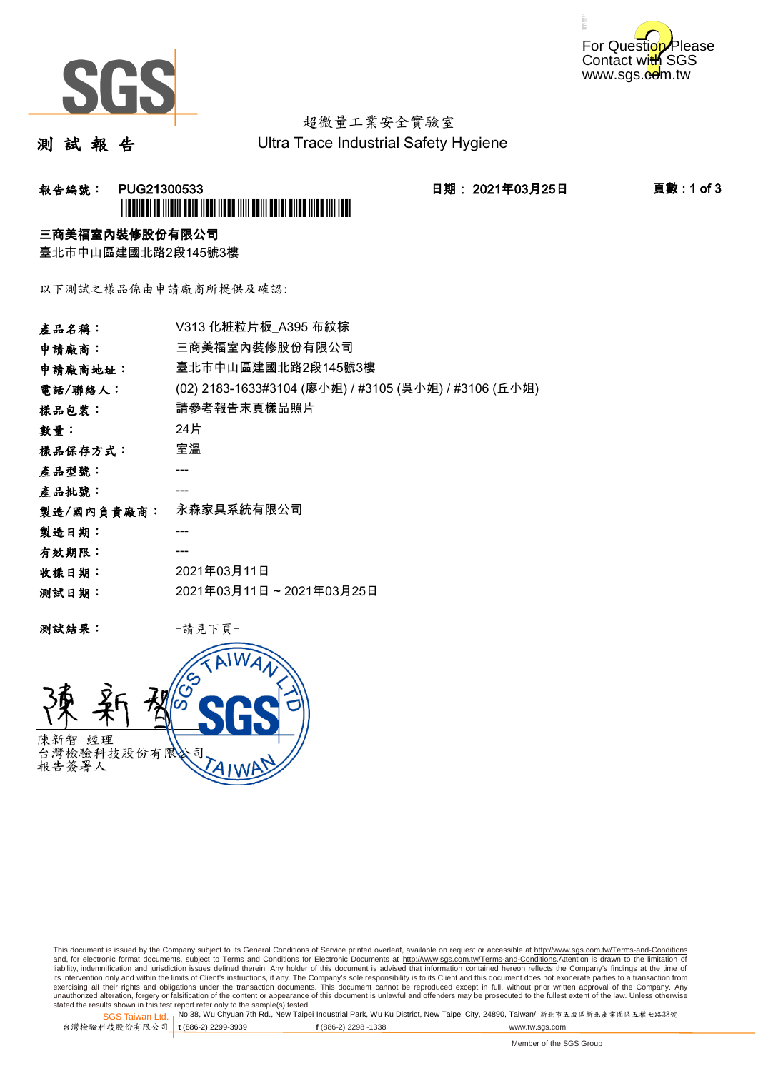



# 超微量工業安全實驗室

測 試 報 告

Ultra Trace Industrial Safety Hygiene

## **報告編號: PUG21300533 日期: 2021年03月25日 頁數:1 of 3** \*PUG21300533\*

### 三商美福室內裝修股份有限公司

臺北市中山區建國北路2段145號3樓

以下測試之樣品係由申請廠商所提供及確認:

| 產品名稱:      | V313 化粧粒片板 A395 布紋棕                                   |
|------------|-------------------------------------------------------|
| 申請廠商:      | 三商美福室內裝修股份有限公司                                        |
| 申請廠商地址:    | 臺北市中山區建國北路2段145號3樓                                    |
| 電話/聯絡人:    | (02) 2183-1633#3104 (廖小姐) / #3105 (吳小姐) / #3106 (丘小姐) |
| 樣品包裝:      | 請參考報告末頁樣品照片                                           |
| 數量:        | 24片                                                   |
| 樣品保存方式:    | 室溫                                                    |
| 產品型號:      |                                                       |
| 產品批號:      |                                                       |
| 製造/國內負責廠商: | 永森家具系統有限公司                                            |
| 製造日期:      |                                                       |
| 有效期限:      |                                                       |
| 收樣日期:      | 2021年03月11日                                           |
| 测試日期:      | 2021年03月11日~2021年03月25日                               |
|            |                                                       |

测試結果: 一請見下頁



This document is issued by the Company subject to its General Conditions of Service printed overleaf, available on request or accessible at http://www.sgs.com.tw/Terms-and-Conditions and, for electronic format documents, subject to Terms and Conditions for Electronic Documents at <u>http://www.sgs.com.tw/Terms-and-Conditions</u>.Attention is drawn to the limitation of<br>liability, indemnification and jurisdic exercising all their rights and obligations under the transaction documents. This document cannot be reproduced except in full, without prior written approval of the Company. Any<br>unauthorized alteration, forgery or falsifi

SGS Taiwan Ltd. 1 stated the results shown in this test report refer only to the sample(s) tested.<br>Stated the results shown in this test report refer only to the sample(s) tested.

台灣檢驗科技股份有限公司

**t** (886-2) 2299-3939 **f** (886-2) 2298 -1338 www.tw.sgs.com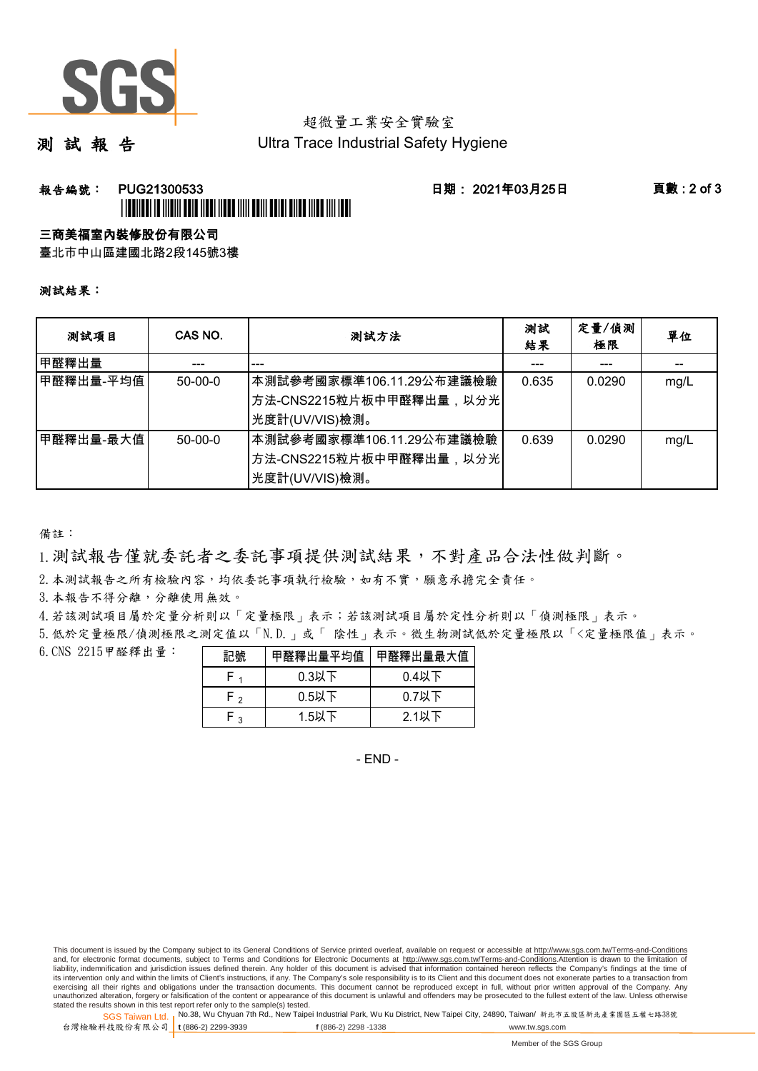

# 超微量工業安全實驗室

測 試 報 告

Ultra Trace Industrial Safety Hygiene

### **報告編號: PUG21300533 日期: 2021年03月25日 頁數:2 of 3** \*PUGE 19 YO 19 YO 19 YO 19 YO 19 YO 19 YO 19 YO 19 YO 19 YO 19 YO 19 YO 19 YO 19 YO 19 YO 19 YO 19 YO 19 YO 19

#### 三商美福室內裝修股份有限公司

臺北市中山區建國北路2段145號3樓

#### 測試結果:

| 测試項目        | CAS NO.   | 測試方法                                                                    | 測試<br>結果 | 定量/偵測<br>極限 | 單位   |
|-------------|-----------|-------------------------------------------------------------------------|----------|-------------|------|
| 甲醛釋出量       |           |                                                                         |          |             |      |
| 甲醛釋出量-平均值   | $50-00-0$ | 本測試參考國家標準106.11.29公布建議檢驗<br>│方法-CNS2215粒片板中甲醛釋出量,以分光│<br>先度計(UV/VIS)檢測。 | 0.635    | 0.0290      | mg/L |
| ┃甲醛釋出量-最大值│ | $50-00-0$ | 本測試參考國家標準106.11.29公布建議檢驗<br>│方法-CNS2215粒片板中甲醛釋出量,以分光│<br>光度計(UV/VIS)檢測。 | 0.639    | 0.0290      | mg/L |

備註:

1.測試報告僅就委託者之委託事項提供測試結果,不對產品合法性做判斷。

2.本測試報告之所有檢驗內容,均依委託事項執行檢驗,如有不實,願意承擔完全責任。

3. 本報告不得分離,分離使用無效。

4.若該測試項目屬於定量分析則以「定量極限」表示;若該測試項目屬於定性分析則以「偵測極限」表示。

5.低於定量極限/偵測極限之測定值以「N.D.」或「 陰性」表示。微生物測試低於定量極限以「<定量極限值」表示。

6.CNS 2215甲醛釋出量:

|      | 甲醛釋出量平均值 | 甲醛釋出量最大值 |
|------|----------|----------|
|      | $0.3$ 以下 | $0.4$ 以下 |
| ہ -ا | $0.5$ 以下 | $0.7$ 以下 |
| ່ 2  | 1.5以下    | $2.1$ 以下 |

- END -

This document is issued by the Company subject to its General Conditions of Service printed overleaf, available on request or accessible at http://www.sgs.com.tw/Terms-and-Conditions and, for electronic format documents, subject to Terms and Conditions for Electronic Documents at http://www.sgs.com.tw/Terms-and-Conditions.Attention is drawn to the limitation of liability, indemnification and jurisdiction issues defined therein. Any holder of this document is advised that information contained hereon reflects the Company's findings at the time of<br>its intervention only and within t exercising all their rights and obligations under the transaction documents. This document cannot be reproduced except in full, without prior written approval of the Company. Any<br>unauthorized alteration, forgery or falsifi

SGS Taiwan Ltd. 1 stated the results shown in this test report refer only to the sample(s) tested.<br>Stated the results shown in this test report refer only to the sample(s) tested.

台灣檢驗科技股份有限公司

**t** (886-2) 2299-3939 **f** (886-2) 2298 -1338 www.tw.sgs.com